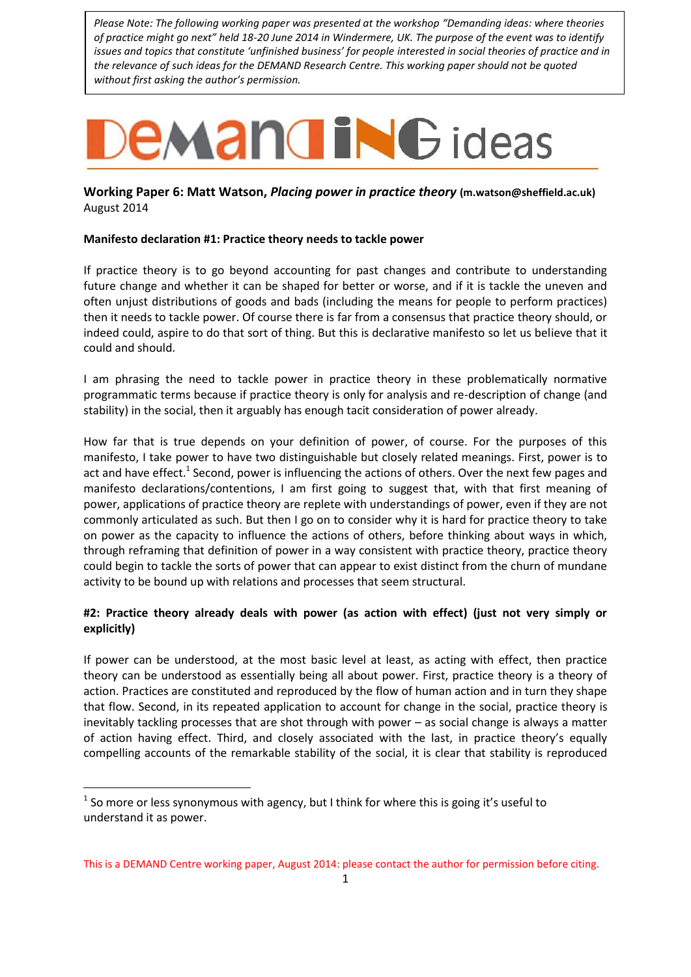*Please Note: The following working paper was presented at the workshop "Demanding ideas: where theories of practice might go next" held 18-20 June 2014 in Windermere, UK. The purpose of the event was to identify issues and topics that constitute 'unfinished business' for people interested in social theories of practice and in the relevance of such ideas for the DEMAND Research Centre. This working paper should not be quoted without first asking the author's permission.*

# **EMANGING** ideas

**Working Paper 6: Matt Watson,** *Placing power in practice theory* **(m.watson@sheffield.ac.uk)** August 2014

## **Manifesto declaration #1: Practice theory needs to tackle power**

If practice theory is to go beyond accounting for past changes and contribute to understanding future change and whether it can be shaped for better or worse, and if it is tackle the uneven and often unjust distributions of goods and bads (including the means for people to perform practices) then it needs to tackle power. Of course there is far from a consensus that practice theory should, or indeed could, aspire to do that sort of thing. But this is declarative manifesto so let us believe that it could and should.

I am phrasing the need to tackle power in practice theory in these problematically normative programmatic terms because if practice theory is only for analysis and re-description of change (and stability) in the social, then it arguably has enough tacit consideration of power already.

How far that is true depends on your definition of power, of course. For the purposes of this manifesto, I take power to have two distinguishable but closely related meanings. First, power is to act and have effect.<sup>1</sup> Second, power is influencing the actions of others. Over the next few pages and manifesto declarations/contentions, I am first going to suggest that, with that first meaning of power, applications of practice theory are replete with understandings of power, even if they are not commonly articulated as such. But then I go on to consider why it is hard for practice theory to take on power as the capacity to influence the actions of others, before thinking about ways in which, through reframing that definition of power in a way consistent with practice theory, practice theory could begin to tackle the sorts of power that can appear to exist distinct from the churn of mundane activity to be bound up with relations and processes that seem structural.

# **#2: Practice theory already deals with power (as action with effect) (just not very simply or explicitly)**

If power can be understood, at the most basic level at least, as acting with effect, then practice theory can be understood as essentially being all about power. First, practice theory is a theory of action. Practices are constituted and reproduced by the flow of human action and in turn they shape that flow. Second, in its repeated application to account for change in the social, practice theory is inevitably tackling processes that are shot through with power – as social change is always a matter of action having effect. Third, and closely associated with the last, in practice theory's equally compelling accounts of the remarkable stability of the social, it is clear that stability is reproduced

-

 $<sup>1</sup>$  So more or less synonymous with agency, but I think for where this is going it's useful to</sup> understand it as power.

This is a DEMAND Centre working paper, August 2014: please contact the author for permission before citing.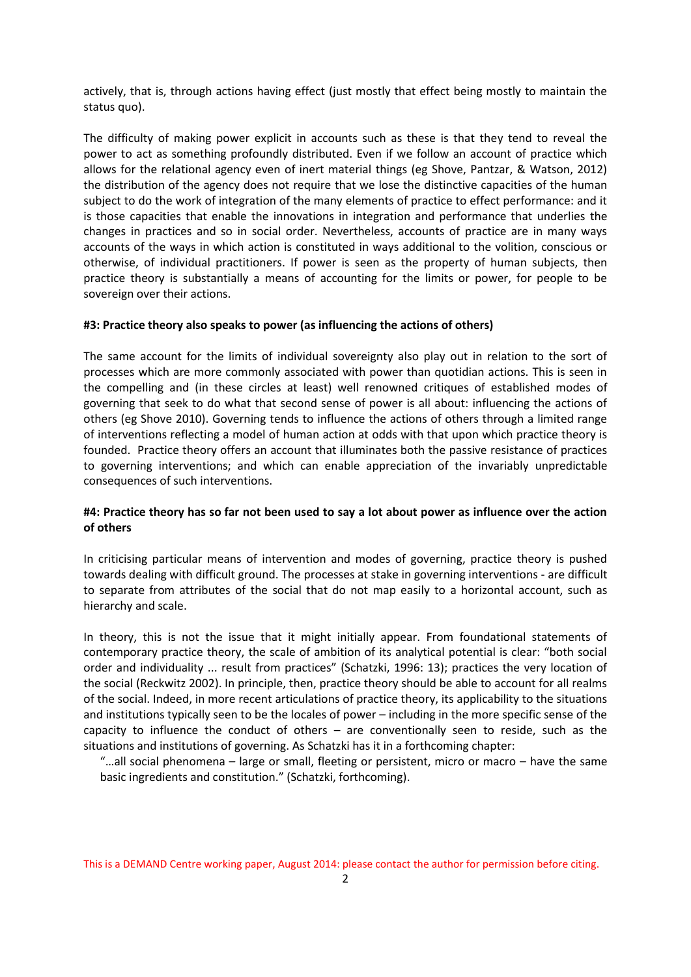actively, that is, through actions having effect (just mostly that effect being mostly to maintain the status quo).

The difficulty of making power explicit in accounts such as these is that they tend to reveal the power to act as something profoundly distributed. Even if we follow an account of practice which allows for the relational agency even of inert material things (eg Shove, Pantzar, & Watson, 2012) the distribution of the agency does not require that we lose the distinctive capacities of the human subject to do the work of integration of the many elements of practice to effect performance: and it is those capacities that enable the innovations in integration and performance that underlies the changes in practices and so in social order. Nevertheless, accounts of practice are in many ways accounts of the ways in which action is constituted in ways additional to the volition, conscious or otherwise, of individual practitioners. If power is seen as the property of human subjects, then practice theory is substantially a means of accounting for the limits or power, for people to be sovereign over their actions.

## **#3: Practice theory also speaks to power (as influencing the actions of others)**

The same account for the limits of individual sovereignty also play out in relation to the sort of processes which are more commonly associated with power than quotidian actions. This is seen in the compelling and (in these circles at least) well renowned critiques of established modes of governing that seek to do what that second sense of power is all about: influencing the actions of others (eg Shove 2010). Governing tends to influence the actions of others through a limited range of interventions reflecting a model of human action at odds with that upon which practice theory is founded. Practice theory offers an account that illuminates both the passive resistance of practices to governing interventions; and which can enable appreciation of the invariably unpredictable consequences of such interventions.

# **#4: Practice theory has so far not been used to say a lot about power as influence over the action of others**

In criticising particular means of intervention and modes of governing, practice theory is pushed towards dealing with difficult ground. The processes at stake in governing interventions - are difficult to separate from attributes of the social that do not map easily to a horizontal account, such as hierarchy and scale.

In theory, this is not the issue that it might initially appear. From foundational statements of contemporary practice theory, the scale of ambition of its analytical potential is clear: "both social order and individuality ... result from practices" (Schatzki, 1996: 13); practices the very location of the social (Reckwitz 2002). In principle, then, practice theory should be able to account for all realms of the social. Indeed, in more recent articulations of practice theory, its applicability to the situations and institutions typically seen to be the locales of power – including in the more specific sense of the capacity to influence the conduct of others  $-$  are conventionally seen to reside, such as the situations and institutions of governing. As Schatzki has it in a forthcoming chapter:

"…all social phenomena – large or small, fleeting or persistent, micro or macro – have the same basic ingredients and constitution." (Schatzki, forthcoming).

This is a DEMAND Centre working paper, August 2014: please contact the author for permission before citing.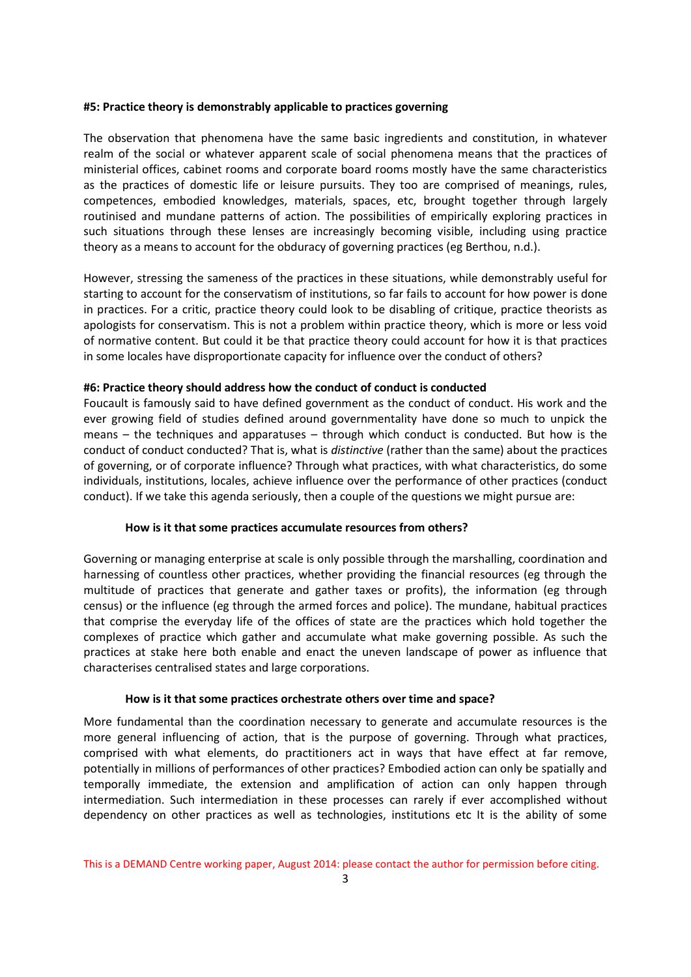#### **#5: Practice theory is demonstrably applicable to practices governing**

The observation that phenomena have the same basic ingredients and constitution, in whatever realm of the social or whatever apparent scale of social phenomena means that the practices of ministerial offices, cabinet rooms and corporate board rooms mostly have the same characteristics as the practices of domestic life or leisure pursuits. They too are comprised of meanings, rules, competences, embodied knowledges, materials, spaces, etc, brought together through largely routinised and mundane patterns of action. The possibilities of empirically exploring practices in such situations through these lenses are increasingly becoming visible, including using practice theory as a means to account for the obduracy of governing practices (eg Berthou, n.d.).

However, stressing the sameness of the practices in these situations, while demonstrably useful for starting to account for the conservatism of institutions, so far fails to account for how power is done in practices. For a critic, practice theory could look to be disabling of critique, practice theorists as apologists for conservatism. This is not a problem within practice theory, which is more or less void of normative content. But could it be that practice theory could account for how it is that practices in some locales have disproportionate capacity for influence over the conduct of others?

#### **#6: Practice theory should address how the conduct of conduct is conducted**

Foucault is famously said to have defined government as the conduct of conduct. His work and the ever growing field of studies defined around governmentality have done so much to unpick the means – the techniques and apparatuses – through which conduct is conducted. But how is the conduct of conduct conducted? That is, what is *distinctive* (rather than the same) about the practices of governing, or of corporate influence? Through what practices, with what characteristics, do some individuals, institutions, locales, achieve influence over the performance of other practices (conduct conduct). If we take this agenda seriously, then a couple of the questions we might pursue are:

#### **How is it that some practices accumulate resources from others?**

Governing or managing enterprise at scale is only possible through the marshalling, coordination and harnessing of countless other practices, whether providing the financial resources (eg through the multitude of practices that generate and gather taxes or profits), the information (eg through census) or the influence (eg through the armed forces and police). The mundane, habitual practices that comprise the everyday life of the offices of state are the practices which hold together the complexes of practice which gather and accumulate what make governing possible. As such the practices at stake here both enable and enact the uneven landscape of power as influence that characterises centralised states and large corporations.

#### **How is it that some practices orchestrate others over time and space?**

More fundamental than the coordination necessary to generate and accumulate resources is the more general influencing of action, that is the purpose of governing. Through what practices, comprised with what elements, do practitioners act in ways that have effect at far remove, potentially in millions of performances of other practices? Embodied action can only be spatially and temporally immediate, the extension and amplification of action can only happen through intermediation. Such intermediation in these processes can rarely if ever accomplished without dependency on other practices as well as technologies, institutions etc It is the ability of some